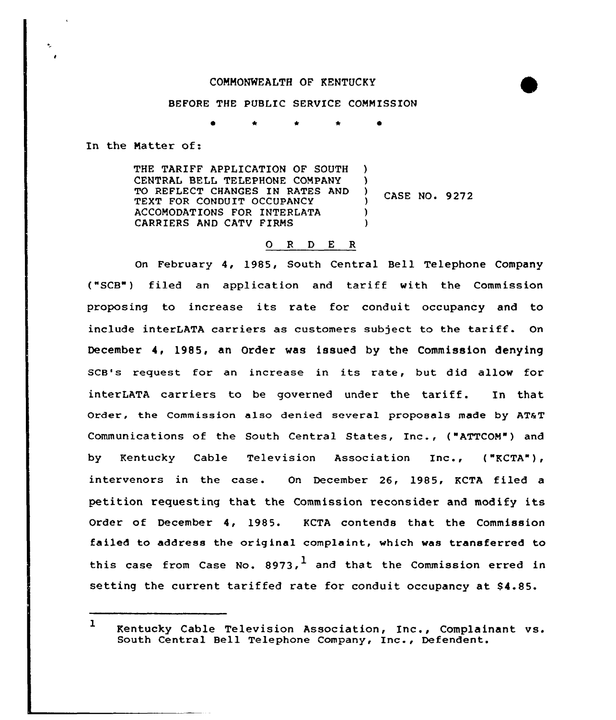## COMMONWEALTH OF KENTUCKY

## BEFORE THE PUBLIC SERVICE COMMISSION

\* \*

In the Matter of:

THE TARIFF APPLICATION OF SOUTH CENTRAL BELL TELEPHONE COMPANY TO REFLECT CHANGES IN RATES AND TEXT FOR CONDUIT OCCUPANCY ACCOMODATIONS FOR INTERLATA CARRIERS AND CATV FIRMS ) 3 CASE NO. 9272 ) )

## 0 <sup>R</sup> <sup>D</sup> E R

On February 4, 1985, South Central Bell Telephone Company ("SCB") filed an application and tariff with the Commission proposing to increase its rate for conduit occupancy and to include interLATA carriers as customers subject to the tariff. On December 4, 1985, an Order was issued by the Commission denying SCB's request for an increase in its rate, but did allow for interLATA carriers to be governed under the tariff. In that Order, the Commission also denied several proposals made by AT&T Communications of the South Centxal States, Inc., ("ATTCOM") and by Kentucky Cable Television Association Inc., ("KCTA"), intervenors in the case. On December 26, 1985, KCTA filed a petition requesting that the Commission reconsider and modify its Order of December 4, 1985. KCTA contends that the Commission failed to address the origina1 complaint, which was transferred to this case from Case No. 8973,  $^1$  and that the Commission erred in setting the current tariffed rate for conduit occupancy at \$4.85.

<sup>1</sup> Kentucky Cable Television Association, Inc., Complainant vs. South Central Bell Telephone Company, Inc., Defendent.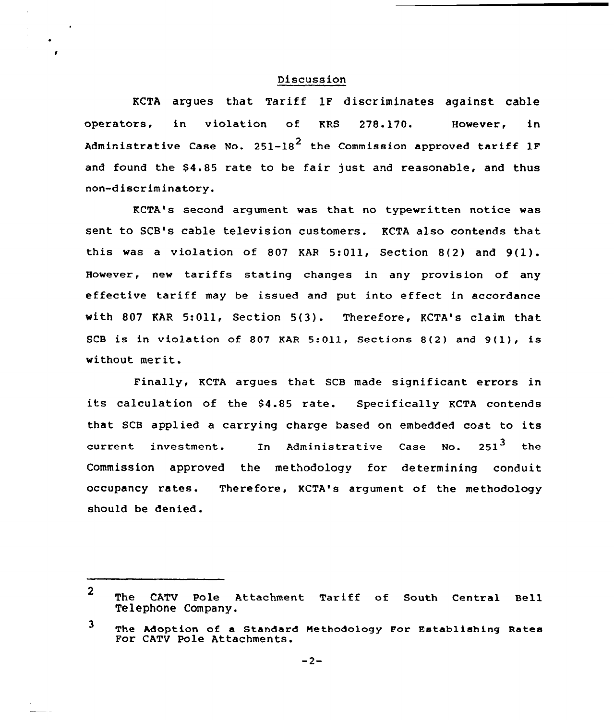## Discussion

KCTA argues that Tariff 1F discriminates against cable operators, in violation of KRS 278.170. However, in Administrative Case No. 251-18<sup>2</sup> the Commission approved tariff 1F and found the \$4.85 rate to be fair just and reasonable, and thus non-d iscr im inatory.

KCTA's second argument was that no typewritten notice was sent to SCB's cable television customers. KCTA also contends that this was <sup>a</sup> violation of <sup>807</sup> KAR 5:Oll, Section 8(2) and 9(l). However, new tariffs stating changes in any provision of any effective tariff may be issued and put into effect in accordance with 807 KAR 5:Oll, Section 5(3). Therefore, KCTA's claim that SCB is in violation of <sup>807</sup> KAR 5:011, Sections 8(2) and 9(1), is without mer it.

Finally, KCTA argues that SCB made significant errors in its calculation of the 84.85 rate. Specifically KCTA contends that SCB applied a carrying charge based on embedded coat to its current investment. In Administrative Case No. 251<sup>3</sup> the Commission approved the methodology for determining conduit occupancy rates. Therefore, KCTA's argument of the methodology should be denied.

<sup>2</sup> The CATV Pole Attachment Tariff of South Central Bell Telephone Company.

<sup>3</sup> The Adoption of a Standard Methodology For Establishing Rates For CATV Pole Attachments.